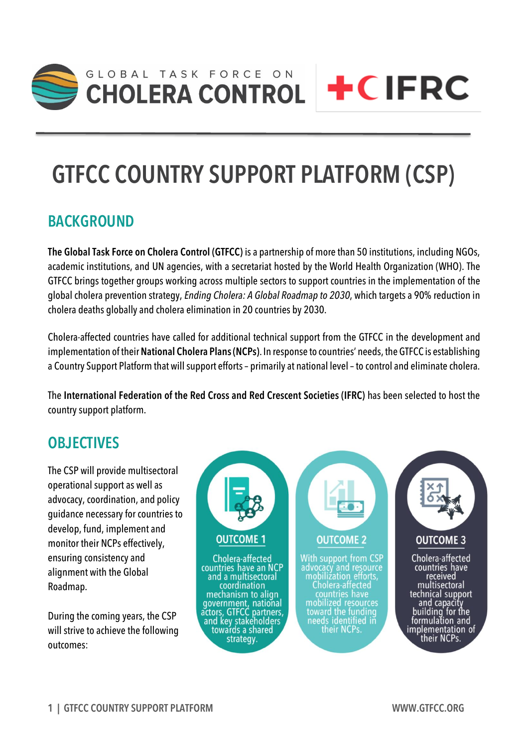

# **GTFCC COUNTRY SUPPORT PLATFORM (CSP)**

#### **BACKGROUND**

**The Global Task Force on Cholera Control (GTFCC)** is a partnership of more than 50 institutions, including NGOs, academic institutions, and UN agencies, with a secretariat hosted by the World Health Organization (WHO). The GTFCC brings together groups working across multiple sectors to support countries in the implementation of the global cholera prevention strategy, *Ending Cholera: A Global Roadmap to 2030*, which targets a 90% reduction in cholera deaths globally and cholera elimination in 20 countries by 2030.

Cholera-affected countries have called for additional technical support from the GTFCC in the development and implementation of their **National Cholera Plans (NCPs)**. In response to countries' needs, the GTFCC is establishing a Country Support Platform that will support efforts – primarily at national level –to control and eliminate cholera.

The **International Federation of the Red Cross and Red Crescent Societies (IFRC)** has been selected to host the country support platform.

#### **OBJECTIVES**

The CSP will provide multisectoral operational support as well as advocacy, coordination, and policy guidance necessary for countries to develop, fund, implement and monitor their NCPs effectively, ensuring consistency and alignment with the Global Roadmap.

During the coming years, the CSP will strive to achieve the following outcomes:

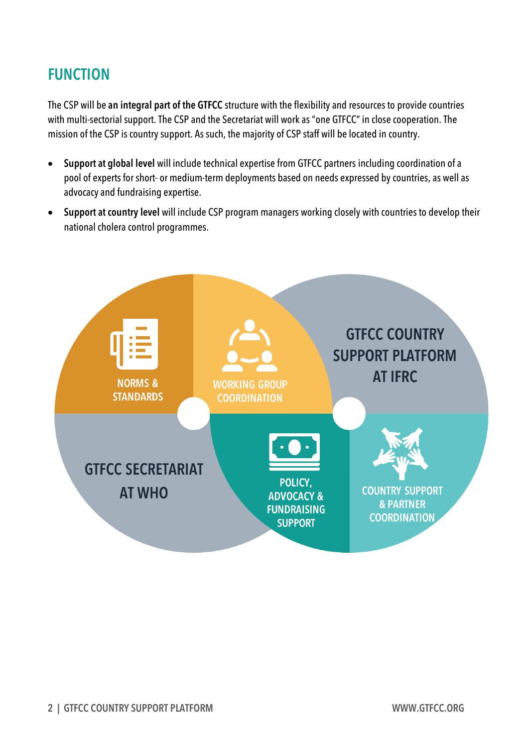## **FUNCTION**

The CSP will be **an integral part of the GTFCC** structure with the flexibility and resources to provide countries with multi-sectorial support. The CSP and the Secretariat will work as "one GTFCC" in close cooperation. The mission of the CSP is country support. As such, the majority of CSP staff will be located in country.

- **Support at global level** will include technical expertise from GTFCC partners including coordination of a pool of experts for short- or medium-term deployments based on needs expressed by countries, as well as advocacy and fundraising expertise.
- **Support at country level** will include CSP program managers working closely with countries to develop their national cholera control programmes.

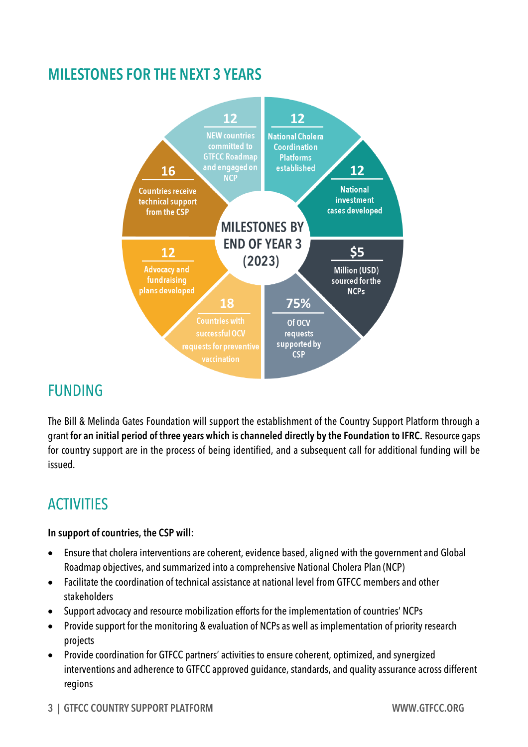### **MILESTONES FOR THE NEXT 3 YEARS**



#### FUNDING

The Bill & Melinda Gates Foundation will support the establishment of the Country Support Platform through a grant **for an initial period of three years which is channeled directly by the Foundation to IFRC.** Resource gaps for country support are in the process of being identified, and a subsequent call for additional funding will be issued.

# ACTIVITIES

#### **In support of countries, the CSP will:**

- Ensure that cholera interventions are coherent, evidence based, aligned with the government and Global Roadmap objectives, and summarized into a comprehensive National Cholera Plan (NCP)
- Facilitate the coordination of technical assistance at national level from GTFCC members and other stakeholders
- Support advocacy and resource mobilization efforts for the implementation of countries' NCPs
- Provide support for the monitoring & evaluation of NCPs as well as implementation of priority research projects
- Provide coordination for GTFCC partners' activities to ensure coherent, optimized, and synergized interventions and adherence to GTFCC approved guidance, standards, and quality assurance across different regions

#### **3 | GTFCC COUNTRY SUPPORT PLATFORM WWW.GTFCC.ORG**